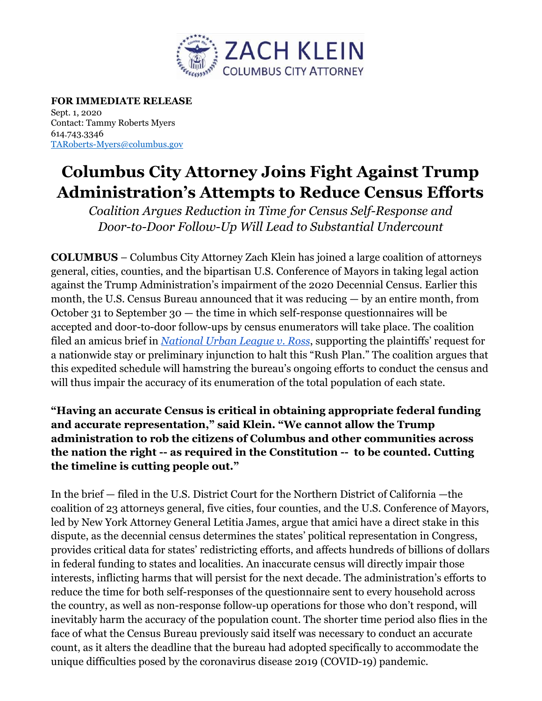

**FOR IMMEDIATE RELEASE** Sept. 1, 2020 Contact: Tammy Roberts Myers 614.743.3346 [TARoberts-Myers@columbus.gov](mailto:TARoberts-Myers@columbus.gov)

## **Columbus City Attorney Joins Fight Against Trump Administration's Attempts to Reduce Census Efforts**

*Coalition Argues Reduction in Time for Census Self-Response and Door-to-Door Follow-Up Will Lead to Substantial Undercount*

**COLUMBUS** – Columbus City Attorney Zach Klein has joined a large coalition of attorneys general, cities, counties, and the bipartisan U.S. Conference of Mayors in taking legal action against the Trump Administration's impairment of the 2020 Decennial Census. Earlier this month, the U.S. Census Bureau announced that it was reducing — by an entire month, from October 31 to September 30 — the time in which self-response questionnaires will be accepted and door-to-door follow-ups by census enumerators will take place. The coalition filed an amicus brief in *[National Urban League v. Ross](https://ag.ny.gov/sites/default/files/national_urban_league_v_ross_amicus_brief-final.pdf)*, supporting the plaintiffs' request for a nationwide stay or preliminary injunction to halt this "Rush Plan." The coalition argues that this expedited schedule will hamstring the bureau's ongoing efforts to conduct the census and will thus impair the accuracy of its enumeration of the total population of each state.

**"Having an accurate Census is critical in obtaining appropriate federal funding and accurate representation," said Klein. "We cannot allow the Trump administration to rob the citizens of Columbus and other communities across the nation the right -- as required in the Constitution -- to be counted. Cutting the timeline is cutting people out."**

In the brief — filed in the U.S. District Court for the Northern District of California —the coalition of 23 attorneys general, five cities, four counties, and the U.S. Conference of Mayors, led by New York Attorney General Letitia James, argue that amici have a direct stake in this dispute, as the decennial census determines the states' political representation in Congress, provides critical data for states' redistricting efforts, and affects hundreds of billions of dollars in federal funding to states and localities. An inaccurate census will directly impair those interests, inflicting harms that will persist for the next decade. The administration's efforts to reduce the time for both self-responses of the questionnaire sent to every household across the country, as well as non-response follow-up operations for those who don't respond, will inevitably harm the accuracy of the population count. The shorter time period also flies in the face of what the Census Bureau previously said itself was necessary to conduct an accurate count, as it alters the deadline that the bureau had adopted specifically to accommodate the unique difficulties posed by the coronavirus disease 2019 (COVID-19) pandemic.